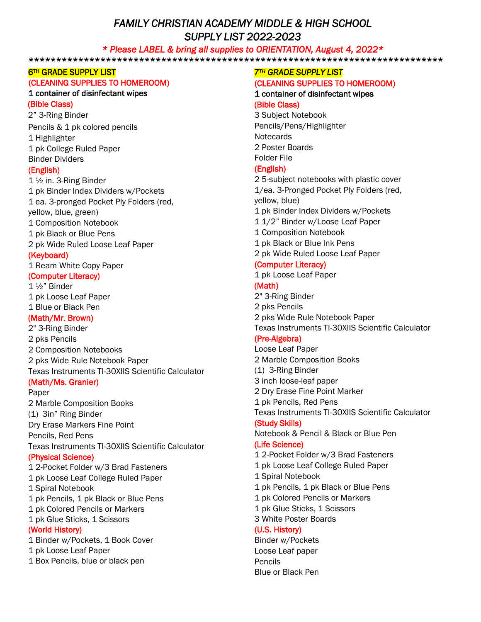# *FAMILY CHRISTIAN ACADEMY MIDDLE & HIGH SCHOOL SUPPLY LIST 2022-2023*

#### *\* Please LABEL & bring all supplies to ORIENTATION, August 4, 2022\**

\*\*\*\*\*\*\*\*\*\*\*\*\*\*\*\*\*\*\*\*\*\*\*\*\*\*\*\*\*\*\*\*\*\*\*\*\*\*\*\*\*\*\*\*\*\*\*\*\*\*\*\*\*\*\*\*\*\*\*\*\*\*\*\*\*\*\*\*\*\*\*\*\*\*\*

#### **6TH GRADE SUPPLY LIST**

#### (CLEANING SUPPLIES TO HOMEROOM)

#### 1 container of disinfectant wipes

#### (Bible Class)

2" 3-Ring Binder Pencils & 1 pk colored pencils 1 Highlighter 1 pk College Ruled Paper Binder Dividers

#### (English)

1 ½ in. 3-Ring Binder 1 pk Binder Index Dividers w/Pockets 1 ea. 3-pronged Pocket Ply Folders (red, yellow, blue, green) 1 Composition Notebook 1 pk Black or Blue Pens 2 pk Wide Ruled Loose Leaf Paper (Keyboard)

1 Ream White Copy Paper

# (Computer Literacy)

1 ½" Binder 1 pk Loose Leaf Paper 1 Blue or Black Pen

#### (Math/Mr. Brown)

2" 3-Ring Binder 2 pks Pencils 2 Composition Notebooks 2 pks Wide Rule Notebook Paper Texas Instruments TI-30XIIS Scientific Calculator

#### (Math/Ms. Granier)

Paper 2 Marble Composition Books (1) 3in" Ring Binder Dry Erase Markers Fine Point Pencils, Red Pens Texas Instruments TI-30XIIS Scientific Calculator (Physical Science) 1 2-Pocket Folder w/3 Brad Fasteners 1 pk Loose Leaf College Ruled Paper 1 Spiral Notebook 1 pk Pencils, 1 pk Black or Blue Pens 1 pk Colored Pencils or Markers 1 pk Glue Sticks, 1 Scissors

#### (World History)

1 Binder w/Pockets, 1 Book Cover 1 pk Loose Leaf Paper 1 Box Pencils, blue or black pen

#### *7TH GRADE SUPPLY LIST*

#### (CLEANING SUPPLIES TO HOMEROOM)

1 container of disinfectant wipes (Bible Class)

3 Subject Notebook Pencils/Pens/Highlighter **Notecards** 2 Poster Boards Folder File

## (English)

2 5-subject notebooks with plastic cover 1/ea. 3-Pronged Pocket Ply Folders (red, yellow, blue) 1 pk Binder Index Dividers w/Pockets 1 1/2" Binder w/Loose Leaf Paper 1 Composition Notebook 1 pk Black or Blue Ink Pens 2 pk Wide Ruled Loose Leaf Paper

#### (Computer Literacy)

1 pk Loose Leaf Paper

# (Math)

2" 3-Ring Binder 2 pks Pencils 2 pks Wide Rule Notebook Paper Texas Instruments TI-30XIIS Scientific Calculator

#### (Pre-Algebra)

Loose Leaf Paper 2 Marble Composition Books (1) 3-Ring Binder 3 inch loose-leaf paper 2 Dry Erase Fine Point Marker 1 pk Pencils, Red Pens Texas Instruments TI-30XIIS Scientific Calculator (Study Skills) Notebook & Pencil & Black or Blue Pen (Life Science) 1 2-Pocket Folder w/3 Brad Fasteners 1 pk Loose Leaf College Ruled Paper 1 Spiral Notebook 1 pk Pencils, 1 pk Black or Blue Pens 1 pk Colored Pencils or Markers 1 pk Glue Sticks, 1 Scissors 3 White Poster Boards (U.S. History) Binder w/Pockets Loose Leaf paper Pencils Blue or Black Pen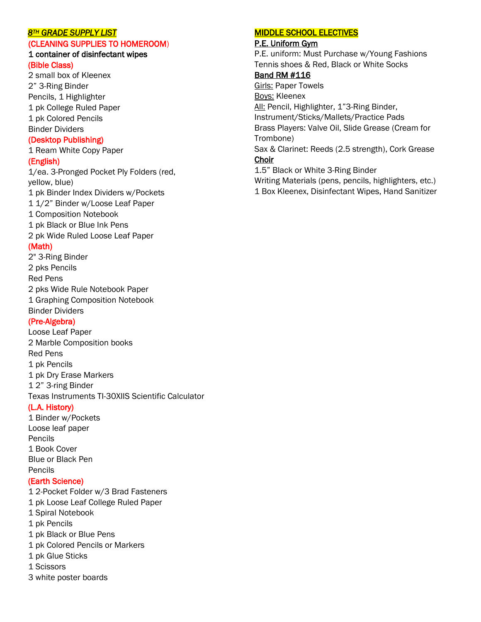#### *8TH GRADE SUPPLY LIST*

# (CLEANING SUPPLIES TO HOMEROOM)

#### 1 container of disinfectant wipes (Bible Class)

2 small box of Kleenex 2" 3-Ring Binder Pencils, 1 Highlighter 1 pk College Ruled Paper 1 pk Colored Pencils Binder Dividers

#### (Desktop Publishing)

1 Ream White Copy Paper

#### (English)

1/ea. 3-Pronged Pocket Ply Folders (red, yellow, blue) 1 pk Binder Index Dividers w/Pockets 1 1/2" Binder w/Loose Leaf Paper 1 Composition Notebook 1 pk Black or Blue Ink Pens 2 pk Wide Ruled Loose Leaf Paper (Math) 2" 3-Ring Binder 2 pks Pencils Red Pens 2 pks Wide Rule Notebook Paper

1 Graphing Composition Notebook Binder Dividers

# (Pre-Algebra)

Loose Leaf Paper 2 Marble Composition books Red Pens 1 pk Pencils 1 pk Dry Erase Markers 1 2" 3-ring Binder Texas Instruments TI-30XIIS Scientific Calculator

# (L.A. History)

1 Binder w/Pockets Loose leaf paper Pencils 1 Book Cover Blue or Black Pen Pencils

#### (Earth Science)

1 2-Pocket Folder w/3 Brad Fasteners 1 pk Loose Leaf College Ruled Paper 1 Spiral Notebook 1 pk Pencils 1 pk Black or Blue Pens 1 pk Colored Pencils or Markers 1 pk Glue Sticks 1 Scissors 3 white poster boards

#### MIDDLE SCHOOL ELECTIVES

#### P.E. Uniform Gym

P.E. uniform: Must Purchase w/Young Fashions Tennis shoes & Red, Black or White Socks

#### Band RM #116

Girls: Paper Towels Boys: Kleenex All: Pencil, Highlighter, 1"3-Ring Binder, Instrument/Sticks/Mallets/Practice Pads Brass Players: Valve Oil, Slide Grease (Cream for Trombone) Sax & Clarinet: Reeds (2.5 strength), Cork Grease Choir 1.5" Black or White 3-Ring Binder

Writing Materials (pens, pencils, highlighters, etc.) 1 Box Kleenex, Disinfectant Wipes, Hand Sanitizer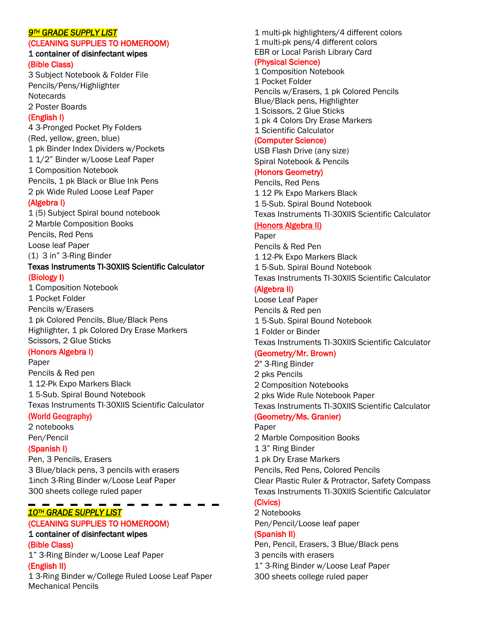#### *9TH GRADE SUPPLY LIST*

# (CLEANING SUPPLIES TO HOMEROOM)

#### 1 container of disinfectant wipes (Bible Class)

3 Subject Notebook & Folder File Pencils/Pens/Highlighter **Notecards** 2 Poster Boards

#### (English I)

4 3-Pronged Pocket Ply Folders (Red, yellow, green, blue) 1 pk Binder Index Dividers w/Pockets 1 1/2" Binder w/Loose Leaf Paper 1 Composition Notebook Pencils, 1 pk Black or Blue Ink Pens 2 pk Wide Ruled Loose Leaf Paper

#### (Algebra I)

1 (5) Subject Spiral bound notebook 2 Marble Composition Books Pencils, Red Pens Loose leaf Paper (1) 3 in" 3-Ring Binder Texas Instruments TI-30XIIS Scientific Calculator

#### (Biology I)

1 Composition Notebook 1 Pocket Folder Pencils w/Erasers 1 pk Colored Pencils, Blue/Black Pens Highlighter, 1 pk Colored Dry Erase Markers Scissors, 2 Glue Sticks

#### (Honors Algebra I)

Paper Pencils & Red pen 1 12-Pk Expo Markers Black 1 5-Sub. Spiral Bound Notebook Texas Instruments TI-30XIIS Scientific Calculator

#### (World Geography)

2 notebooks Pen/Pencil

#### (Spanish I)

Pen, 3 Pencils, Erasers 3 Blue/black pens, 3 pencils with erasers 1inch 3-Ring Binder w/Loose Leaf Paper 300 sheets college ruled paper

# *10TH GRADE SUPPLY LIST*

#### (CLEANING SUPPLIES TO HOMEROOM)

#### 1 container of disinfectant wipes (Bible Class)

1" 3-Ring Binder w/Loose Leaf Paper

## (English II)

1 3-Ring Binder w/College Ruled Loose Leaf Paper Mechanical Pencils

1 multi-pk highlighters/4 different colors 1 multi-pk pens/4 different colors EBR or Local Parish Library Card

# (Physical Science)

1 Composition Notebook 1 Pocket Folder Pencils w/Erasers, 1 pk Colored Pencils Blue/Black pens, Highlighter 1 Scissors, 2 Glue Sticks 1 pk 4 Colors Dry Erase Markers 1 Scientific Calculator

#### (Computer Science)

USB Flash Drive (any size) Spiral Notebook & Pencils

#### (Honors Geometry)

Pencils, Red Pens 1 12 Pk Expo Markers Black 1 5-Sub. Spiral Bound Notebook Texas Instruments TI-30XIIS Scientific Calculator

## (Honors Algebra II)

Paper Pencils & Red Pen 1 12-Pk Expo Markers Black 1 5-Sub. Spiral Bound Notebook Texas Instruments TI-30XIIS Scientific Calculator

# (Algebra II)

Loose Leaf Paper Pencils & Red pen 1 5-Sub. Spiral Bound Notebook 1 Folder or Binder Texas Instruments TI-30XIIS Scientific Calculator

# (Geometry/Mr. Brown)

2" 3-Ring Binder 2 pks Pencils 2 Composition Notebooks 2 pks Wide Rule Notebook Paper Texas Instruments TI-30XIIS Scientific Calculator (Geometry/Ms. Granier) Paper 2 Marble Composition Books 1 3" Ring Binder 1 pk Dry Erase Markers Pencils, Red Pens, Colored Pencils Clear Plastic Ruler & Protractor, Safety Compass Texas Instruments TI-30XIIS Scientific Calculator (Civics) 2 Notebooks

Pen/Pencil/Loose leaf paper

#### (Spanish II)

Pen, Pencil, Erasers, 3 Blue/Black pens 3 pencils with erasers 1" 3-Ring Binder w/Loose Leaf Paper 300 sheets college ruled paper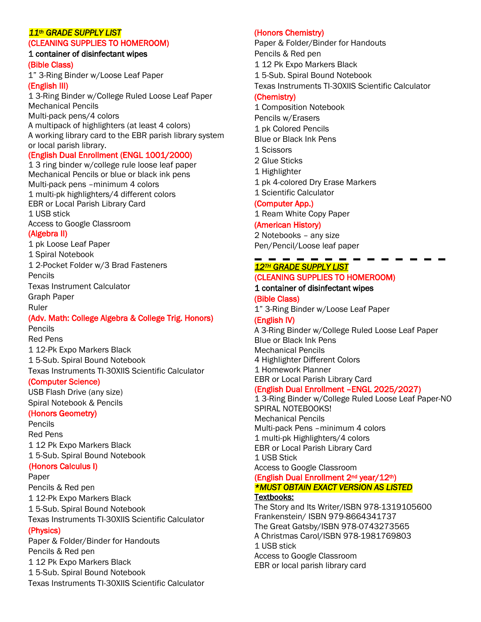#### *11th GRADE SUPPLY LIST*

#### (CLEANING SUPPLIES TO HOMEROOM)

#### 1 container of disinfectant wipes (Bible Class)

1" 3-Ring Binder w/Loose Leaf Paper (English III)

1 3-Ring Binder w/College Ruled Loose Leaf Paper Mechanical Pencils Multi-pack pens/4 colors A multipack of highlighters (at least 4 colors) A working library card to the EBR parish library system

#### or local parish library. (English Dual Enrollment (ENGL 1001/2000)

1 3 ring binder w/college rule loose leaf paper Mechanical Pencils or blue or black ink pens Multi-pack pens –minimum 4 colors 1 multi-pk highlighters/4 different colors EBR or Local Parish Library Card 1 USB stick Access to Google Classroom

#### (Algebra II)

1 pk Loose Leaf Paper 1 Spiral Notebook 1 2-Pocket Folder w/3 Brad Fasteners Pencils Texas Instrument Calculator Graph Paper

Ruler

# (Adv. Math: College Algebra & College Trig. Honors)

Pencils Red Pens 1 12-Pk Expo Markers Black 1 5-Sub. Spiral Bound Notebook Texas Instruments TI-30XIIS Scientific Calculator

#### (Computer Science)

USB Flash Drive (any size) Spiral Notebook & Pencils

#### (Honors Geometry)

Pencils Red Pens 1 12 Pk Expo Markers Black 1 5-Sub. Spiral Bound Notebook

# (Honors Calculus I)

Paper Pencils & Red pen 1 12-Pk Expo Markers Black 1 5-Sub. Spiral Bound Notebook Texas Instruments TI-30XIIS Scientific Calculator (Physics) Paper & Folder/Binder for Handouts Pencils & Red pen 1 12 Pk Expo Markers Black

1 5-Sub. Spiral Bound Notebook

Texas Instruments TI-30XIIS Scientific Calculator

# (Honors Chemistry)

Paper & Folder/Binder for Handouts Pencils & Red pen 1 12 Pk Expo Markers Black 1 5-Sub. Spiral Bound Notebook Texas Instruments TI-30XIIS Scientific Calculator

#### (Chemistry)

1 Composition Notebook Pencils w/Erasers 1 pk Colored Pencils Blue or Black Ink Pens 1 Scissors 2 Glue Sticks 1 Highlighter 1 pk 4-colored Dry Erase Markers 1 Scientific Calculator (Computer App.) 1 Ream White Copy Paper

# (American History)

2 Notebooks – any size Pen/Pencil/Loose leaf paper

# *12TH GRADE SUPPLY LIST*  (CLEANING SUPPLIES TO HOMEROOM)

# 1 container of disinfectant wipes

(Bible Class) 1" 3-Ring Binder w/Loose Leaf Paper

# (English IV)

A 3-Ring Binder w/College Ruled Loose Leaf Paper Blue or Black Ink Pens Mechanical Pencils 4 Highlighter Different Colors 1 Homework Planner EBR or Local Parish Library Card (English Dual Enrollment –ENGL 2025/2027)

1 3-Ring Binder w/College Ruled Loose Leaf Paper-NO SPIRAL NOTEBOOKS! Mechanical Pencils Multi-pack Pens –minimum 4 colors 1 multi-pk Highlighters/4 colors EBR or Local Parish Library Card 1 USB Stick Access to Google Classroom

# (English Dual Enrollment 2nd year/12th) *\*MUST OBTAIN EXACT VERSION AS LISTED*

Textbooks:

The Story and Its Writer/ISBN 978-1319105600 Frankenstein/ ISBN 979-8664341737 The Great Gatsby/ISBN 978-0743273565 A Christmas Carol/ISBN 978-1981769803 1 USB stick Access to Google Classroom EBR or local parish library card